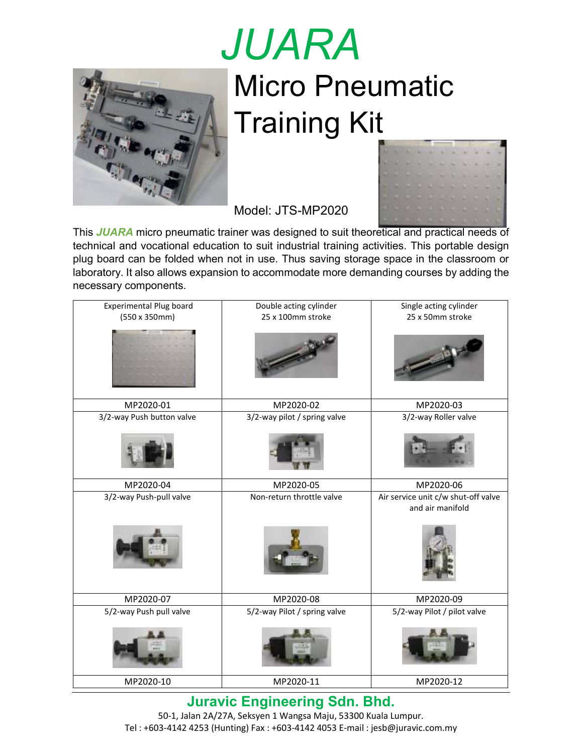

## *JUARA* Micro Pneumatic Training Kit



Model: JTS-MP2020

This *JUARA* micro pneumatic trainer was designed to suit theoretical and practical needs of technical and vocational education to suit industrial training activities. This portable design plug board can be folded when not in use. Thus saving storage space in the classroom or laboratory. It also allows expansion to accommodate more demanding courses by adding the necessary components.

| <b>Experimental Plug board</b><br>$(550 \times 350$ mm) | Double acting cylinder<br>25 x 100mm stroke | Single acting cylinder<br>25 x 50mm stroke                           |  |  |
|---------------------------------------------------------|---------------------------------------------|----------------------------------------------------------------------|--|--|
| MP2020-01                                               | MP2020-02                                   | MP2020-03                                                            |  |  |
| 3/2-way Push button valve                               | 3/2-way pilot / spring valve                | 3/2-way Roller valve                                                 |  |  |
| MP2020-04                                               | MP2020-05                                   | MP2020-06<br>Air service unit c/w shut-off valve<br>and air manifold |  |  |
| 3/2-way Push-pull valve                                 | Non-return throttle valve                   |                                                                      |  |  |
| MP2020-07                                               | MP2020-08                                   | MP2020-09                                                            |  |  |
| 5/2-way Push pull valve                                 | 5/2-way Pilot / spring valve                | 5/2-way Pilot / pilot valve                                          |  |  |
| MP2020-10                                               | MP2020-11                                   | MP2020-12                                                            |  |  |

**Juravic Engineering Sdn. Bhd.**

50-1, Jalan 2A/27A, Seksyen 1 Wangsa Maju, 53300 Kuala Lumpur. Tel : +603-4142 4253 (Hunting) Fax : +603-4142 4053 E-mail : jesb@juravic.com.my